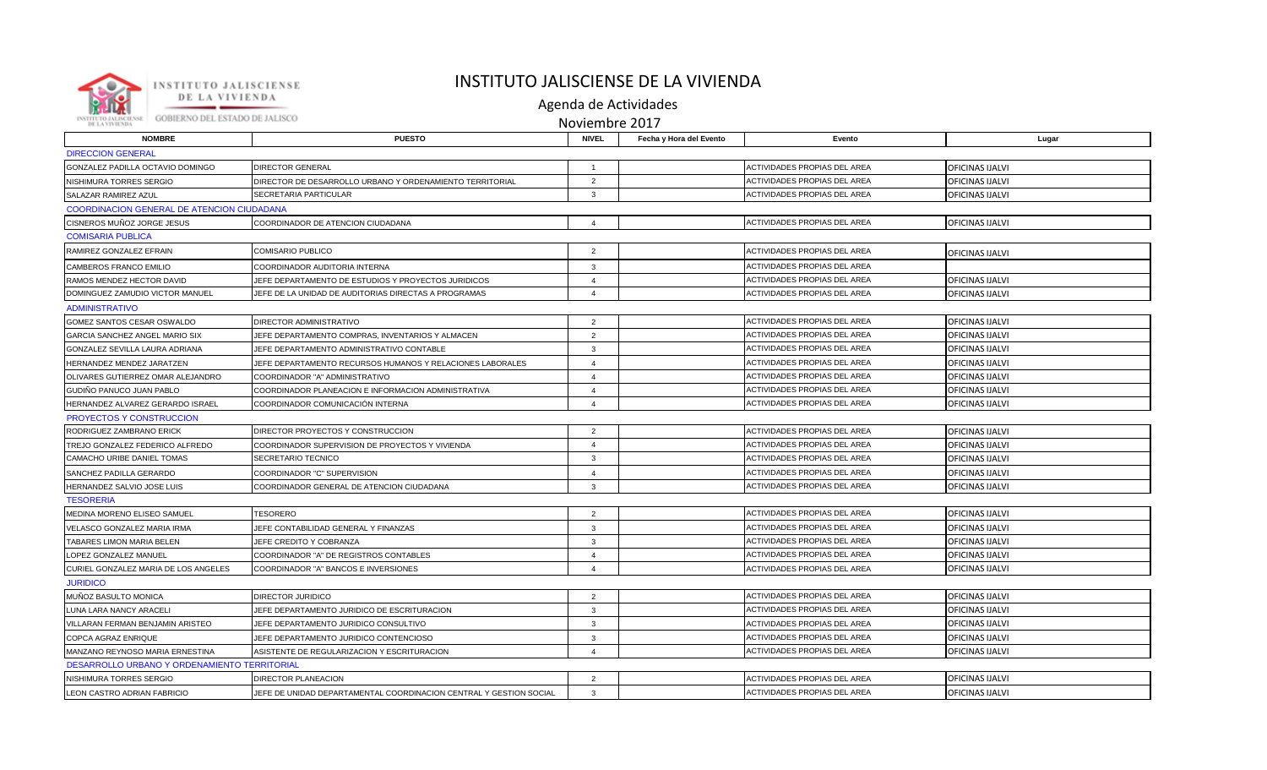

## INSTITUTO JALISCIENSE DE LA VIVIENDA

Agenda de Actividades

Noviembre 2017

| <b>NOMBRE</b>                                | <b>PUESTO</b>                                                      | <b>NIVEL</b>            | Fecha y Hora del Evento | Evento                              | Lugar                  |  |  |  |
|----------------------------------------------|--------------------------------------------------------------------|-------------------------|-------------------------|-------------------------------------|------------------------|--|--|--|
| <b>DIRECCION GENERAL</b>                     |                                                                    |                         |                         |                                     |                        |  |  |  |
| GONZALEZ PADILLA OCTAVIO DOMINGO             | <b>DIRECTOR GENERAL</b>                                            | $\overline{1}$          |                         | <b>ACTIVIDADES PROPIAS DEL AREA</b> | OFICINAS IJALVI        |  |  |  |
| NISHIMURA TORRES SERGIO                      | DIRECTOR DE DESARROLLO URBANO Y ORDENAMIENTO TERRITORIAL           | $\overline{2}$          |                         | ACTIVIDADES PROPIAS DEL AREA        | OFICINAS IJALVI        |  |  |  |
| SALAZAR RAMIREZ AZUL                         | SECRETARIA PARTICULAR                                              | $\cdot$ 3               |                         | ACTIVIDADES PROPIAS DEL AREA        | OFICINAS IJALVI        |  |  |  |
| COORDINACION GENERAL DE ATENCION CIUDADANA   |                                                                    |                         |                         |                                     |                        |  |  |  |
| CISNEROS MUÑOZ JORGE JESUS                   | COORDINADOR DE ATENCION CIUDADANA                                  | $\boldsymbol{\Delta}$   |                         | <b>ACTIVIDADES PROPIAS DEL AREA</b> | OFICINAS IJALVI        |  |  |  |
| <b>COMISARIA PUBLICA</b>                     |                                                                    |                         |                         |                                     |                        |  |  |  |
| RAMIREZ GONZALEZ EFRAIN                      | <b>COMISARIO PUBLICO</b>                                           | $\overline{2}$          |                         | ACTIVIDADES PROPIAS DEL AREA        | <b>OFICINAS IJALVI</b> |  |  |  |
| CAMBEROS FRANCO EMILIO                       | COORDINADOR AUDITORIA INTERNA                                      | 3                       |                         | <b>ACTIVIDADES PROPIAS DEL AREA</b> |                        |  |  |  |
| RAMOS MENDEZ HECTOR DAVID                    | JEFE DEPARTAMENTO DE ESTUDIOS Y PROYECTOS JURIDICOS                | $\overline{4}$          |                         | ACTIVIDADES PROPIAS DEL AREA        | OFICINAS IJALVI        |  |  |  |
| DOMINGUEZ ZAMUDIO VICTOR MANUEL              | JEFE DE LA UNIDAD DE AUDITORIAS DIRECTAS A PROGRAMAS               | $\boldsymbol{\Delta}$   |                         | ACTIVIDADES PROPIAS DEL AREA        | OFICINAS IJALVI        |  |  |  |
| <b>ADMINISTRATIVO</b>                        |                                                                    |                         |                         |                                     |                        |  |  |  |
| GOMEZ SANTOS CESAR OSWALDO                   | DIRECTOR ADMINISTRATIVO                                            | $\overline{2}$          |                         | ACTIVIDADES PROPIAS DEL AREA        | OFICINAS IJALVI        |  |  |  |
| GARCIA SANCHEZ ANGEL MARIO SIX               | JEFE DEPARTAMENTO COMPRAS, INVENTARIOS Y ALMACEN                   | 2                       |                         | ACTIVIDADES PROPIAS DEL AREA        | OFICINAS IJALVI        |  |  |  |
| GONZALEZ SEVILLA LAURA ADRIANA               | JEFE DEPARTAMENTO ADMINISTRATIVO CONTABLE                          | $\overline{3}$          |                         | ACTIVIDADES PROPIAS DEL AREA        | OFICINAS IJALVI        |  |  |  |
| HERNANDEZ MENDEZ JARATZEN                    | JEFE DEPARTAMENTO RECURSOS HUMANOS Y RELACIONES LABORALES          | $\overline{\mathbf{A}}$ |                         | <b>ACTIVIDADES PROPIAS DEL AREA</b> | OFICINAS IJALVI        |  |  |  |
| OLIVARES GUTIERREZ OMAR ALEJANDRO            | COORDINADOR "A" ADMINISTRATIVO                                     | $\overline{\mathbf{A}}$ |                         | ACTIVIDADES PROPIAS DEL AREA        | OFICINAS IJALVI        |  |  |  |
| GUDIÑO PANUCO JUAN PABLO                     | COORDINADOR PLANEACION E INFORMACION ADMINISTRATIVA                | $\overline{4}$          |                         | ACTIVIDADES PROPIAS DEL AREA        | OFICINAS IJALVI        |  |  |  |
| HERNANDEZ ALVAREZ GERARDO ISRAEL             | COORDINADOR COMUNICACIÓN INTERNA                                   | $\boldsymbol{\Delta}$   |                         | <b>ACTIVIDADES PROPIAS DEL AREA</b> | OFICINAS IJALVI        |  |  |  |
| PROYECTOS Y CONSTRUCCION                     |                                                                    |                         |                         |                                     |                        |  |  |  |
| RODRIGUEZ ZAMBRANO ERICK                     | DIRECTOR PROYECTOS Y CONSTRUCCION                                  | $\overline{2}$          |                         | ACTIVIDADES PROPIAS DEL AREA        | <b>OFICINAS IJALVI</b> |  |  |  |
| TREJO GONZALEZ FEDERICO ALFREDO              | COORDINADOR SUPERVISION DE PROYECTOS Y VIVIENDA                    | $\overline{4}$          |                         | ACTIVIDADES PROPIAS DEL AREA        | OFICINAS IJALVI        |  |  |  |
| CAMACHO URIBE DANIEL TOMAS                   | SECRETARIO TECNICO                                                 | $\overline{3}$          |                         | ACTIVIDADES PROPIAS DEL AREA        | OFICINAS IJALVI        |  |  |  |
| SANCHEZ PADILLA GERARDO                      | COORDINADOR "C" SUPERVISION                                        | $\boldsymbol{\Delta}$   |                         | ACTIVIDADES PROPIAS DEL AREA        | OFICINAS IJALVI        |  |  |  |
| HERNANDEZ SALVIO JOSE LUIS                   | COORDINADOR GENERAL DE ATENCION CIUDADANA                          | $\mathbf{3}$            |                         | ACTIVIDADES PROPIAS DEL AREA        | OFICINAS IJALVI        |  |  |  |
| <b>TESORERIA</b>                             |                                                                    |                         |                         |                                     |                        |  |  |  |
| MEDINA MORENO ELISEO SAMUEL                  | <b>TESORERO</b>                                                    | $\overline{2}$          |                         | ACTIVIDADES PROPIAS DEL AREA        | OFICINAS IJALVI        |  |  |  |
| VELASCO GONZALEZ MARIA IRMA                  | JEFE CONTABILIDAD GENERAL Y FINANZAS                               | 3                       |                         | ACTIVIDADES PROPIAS DEL AREA        | OFICINAS IJALVI        |  |  |  |
| TABARES LIMON MARIA BELEN                    | JEFE CREDITO Y COBRANZA                                            | $\overline{3}$          |                         | ACTIVIDADES PROPIAS DEL AREA        | OFICINAS IJALVI        |  |  |  |
| LOPEZ GONZALEZ MANUEL                        | COORDINADOR "A" DE REGISTROS CONTABLES                             | $\overline{4}$          |                         | <b>ACTIVIDADES PROPIAS DEL AREA</b> | OFICINAS IJALVI        |  |  |  |
| CURIEL GONZALEZ MARIA DE LOS ANGELES         | COORDINADOR "A" BANCOS E INVERSIONES                               | $\overline{4}$          |                         | ACTIVIDADES PROPIAS DEL AREA        | OFICINAS IJALVI        |  |  |  |
| <b>JURIDICO</b>                              |                                                                    |                         |                         |                                     |                        |  |  |  |
| MUÑOZ BASULTO MONICA                         | <b>DIRECTOR JURIDICO</b>                                           | $\overline{2}$          |                         | ACTIVIDADES PROPIAS DEL AREA        | OFICINAS IJALVI        |  |  |  |
| LUNA LARA NANCY ARACELI                      | JEFE DEPARTAMENTO JURIDICO DE ESCRITURACION                        | $\overline{3}$          |                         | ACTIVIDADES PROPIAS DEL AREA        | OFICINAS IJALVI        |  |  |  |
| VILLARAN FERMAN BENJAMIN ARISTEO             | JEFE DEPARTAMENTO JURIDICO CONSULTIVO                              | $\overline{3}$          |                         | ACTIVIDADES PROPIAS DEL AREA        | OFICINAS IJALVI        |  |  |  |
| COPCA AGRAZ ENRIQUE                          | JEFE DEPARTAMENTO JURIDICO CONTENCIOSO                             | $\mathbf{3}$            |                         | ACTIVIDADES PROPIAS DEL AREA        | OFICINAS IJALVI        |  |  |  |
| MANZANO REYNOSO MARIA ERNESTINA              | ASISTENTE DE REGULARIZACION Y ESCRITURACION                        | $\overline{4}$          |                         | ACTIVIDADES PROPIAS DEL AREA        | OFICINAS IJALVI        |  |  |  |
| DESARROLLO URBANO Y ORDENAMIENTO TERRITORIAL |                                                                    |                         |                         |                                     |                        |  |  |  |
| NISHIMURA TORRES SERGIO                      | DIRECTOR PLANEACION                                                | 2                       |                         | ACTIVIDADES PROPIAS DEL AREA        | OFICINAS IJALVI        |  |  |  |
| <b>LEON CASTRO ADRIAN FABRICIO</b>           | JEFE DE UNIDAD DEPARTAMENTAL COORDINACION CENTRAL Y GESTION SOCIAL | $\mathbf{3}$            |                         | <b>ACTIVIDADES PROPIAS DEL AREA</b> | OFICINAS IJALVI        |  |  |  |